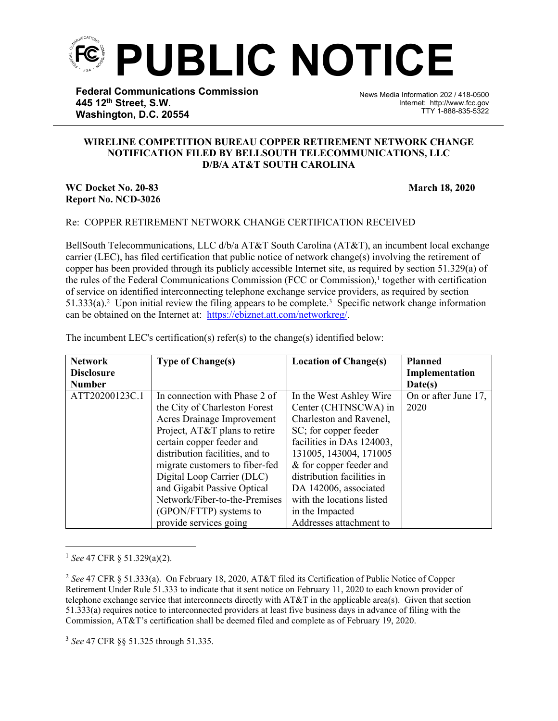

**Federal Communications Commission 445 12th Street, S.W. Washington, D.C. 20554**

News Media Information 202 / 418-0500 Internet: http://www.fcc.gov TTY 1-888-835-5322

## **WIRELINE COMPETITION BUREAU COPPER RETIREMENT NETWORK CHANGE NOTIFICATION FILED BY BELLSOUTH TELECOMMUNICATIONS, LLC D/B/A AT&T SOUTH CAROLINA**

֡֡֡֡

## **WC Docket No. 20-83 March 18, 2020 Report No. NCD-3026**

## Re: COPPER RETIREMENT NETWORK CHANGE CERTIFICATION RECEIVED

BellSouth Telecommunications, LLC d/b/a AT&T South Carolina (AT&T), an incumbent local exchange carrier (LEC), has filed certification that public notice of network change(s) involving the retirement of copper has been provided through its publicly accessible Internet site, as required by section 51.329(a) of the rules of the Federal Communications Commission (FCC or Commission),<sup>1</sup> together with certification of service on identified interconnecting telephone exchange service providers, as required by section 51.333(a).<sup>2</sup> Upon initial review the filing appears to be complete.<sup>3</sup> Specific network change information can be obtained on the Internet at: <https://ebiznet.att.com/networkreg/>.

| <b>Network</b>    | <b>Type of Change(s)</b>        | <b>Location of Change(s)</b> | <b>Planned</b>       |
|-------------------|---------------------------------|------------------------------|----------------------|
| <b>Disclosure</b> |                                 |                              | Implementation       |
| <b>Number</b>     |                                 |                              | Date(s)              |
| ATT20200123C.1    | In connection with Phase 2 of   | In the West Ashley Wire      | On or after June 17, |
|                   | the City of Charleston Forest   | Center (CHTNSCWA) in         | 2020                 |
|                   | Acres Drainage Improvement      | Charleston and Ravenel,      |                      |
|                   | Project, AT&T plans to retire   | SC; for copper feeder        |                      |
|                   | certain copper feeder and       | facilities in DAs 124003,    |                      |
|                   | distribution facilities, and to | 131005, 143004, 171005       |                      |
|                   | migrate customers to fiber-fed  | & for copper feeder and      |                      |
|                   | Digital Loop Carrier (DLC)      | distribution facilities in   |                      |
|                   | and Gigabit Passive Optical     | DA 142006, associated        |                      |
|                   | Network/Fiber-to-the-Premises   | with the locations listed    |                      |
|                   | (GPON/FTTP) systems to          | in the Impacted              |                      |
|                   | provide services going          | Addresses attachment to      |                      |

The incumbent LEC's certification(s) refer(s) to the change(s) identified below:

<sup>3</sup> *See* 47 CFR §§ 51.325 through 51.335.

<sup>1</sup> *See* 47 CFR § 51.329(a)(2).

<sup>2</sup> *See* 47 CFR § 51.333(a). On February 18, 2020, AT&T filed its Certification of Public Notice of Copper Retirement Under Rule 51.333 to indicate that it sent notice on February 11, 2020 to each known provider of telephone exchange service that interconnects directly with AT&T in the applicable area(s). Given that section 51.333(a) requires notice to interconnected providers at least five business days in advance of filing with the Commission, AT&T's certification shall be deemed filed and complete as of February 19, 2020.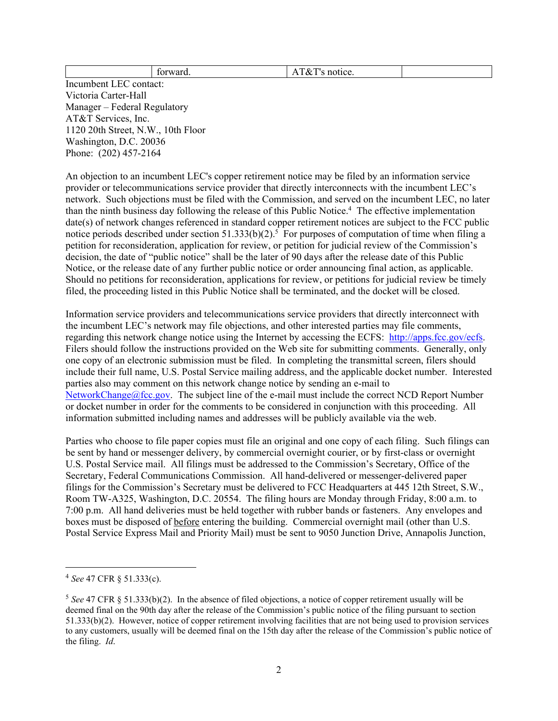| AIXI's notice. |
|----------------|
|----------------|

Incumbent LEC contact: Victoria Carter-Hall Manager – Federal Regulatory AT&T Services, Inc. 1120 20th Street, N.W., 10th Floor Washington, D.C. 20036 Phone: (202) 457-2164

An objection to an incumbent LEC's copper retirement notice may be filed by an information service provider or telecommunications service provider that directly interconnects with the incumbent LEC's network. Such objections must be filed with the Commission, and served on the incumbent LEC, no later than the ninth business day following the release of this Public Notice.<sup>4</sup> The effective implementation date(s) of network changes referenced in standard copper retirement notices are subject to the FCC public notice periods described under section  $51.333(b)(2)$ .<sup>5</sup> For purposes of computation of time when filing a petition for reconsideration, application for review, or petition for judicial review of the Commission's decision, the date of "public notice" shall be the later of 90 days after the release date of this Public Notice, or the release date of any further public notice or order announcing final action, as applicable. Should no petitions for reconsideration, applications for review, or petitions for judicial review be timely filed, the proceeding listed in this Public Notice shall be terminated, and the docket will be closed.

Information service providers and telecommunications service providers that directly interconnect with the incumbent LEC's network may file objections, and other interested parties may file comments, regarding this network change notice using the Internet by accessing the ECFS: [http://apps.fcc.gov/ecfs.](http://apps.fcc.gov/ecfs) Filers should follow the instructions provided on the Web site for submitting comments. Generally, only one copy of an electronic submission must be filed. In completing the transmittal screen, filers should include their full name, U.S. Postal Service mailing address, and the applicable docket number. Interested parties also may comment on this network change notice by sending an e-mail to [NetworkChange@fcc.gov.](mailto:NetworkChange@fcc.gov) The subject line of the e-mail must include the correct NCD Report Number or docket number in order for the comments to be considered in conjunction with this proceeding. All information submitted including names and addresses will be publicly available via the web.

Parties who choose to file paper copies must file an original and one copy of each filing. Such filings can be sent by hand or messenger delivery, by commercial overnight courier, or by first-class or overnight U.S. Postal Service mail. All filings must be addressed to the Commission's Secretary, Office of the Secretary, Federal Communications Commission. All hand-delivered or messenger-delivered paper filings for the Commission's Secretary must be delivered to FCC Headquarters at 445 12th Street, S.W., Room TW-A325, Washington, D.C. 20554. The filing hours are Monday through Friday, 8:00 a.m. to 7:00 p.m. All hand deliveries must be held together with rubber bands or fasteners. Any envelopes and boxes must be disposed of before entering the building. Commercial overnight mail (other than U.S. Postal Service Express Mail and Priority Mail) must be sent to 9050 Junction Drive, Annapolis Junction,

<sup>4</sup> *See* 47 CFR § 51.333(c).

<sup>5</sup> *See* 47 CFR § 51.333(b)(2). In the absence of filed objections, a notice of copper retirement usually will be deemed final on the 90th day after the release of the Commission's public notice of the filing pursuant to section 51.333(b)(2). However, notice of copper retirement involving facilities that are not being used to provision services to any customers, usually will be deemed final on the 15th day after the release of the Commission's public notice of the filing. *Id*.